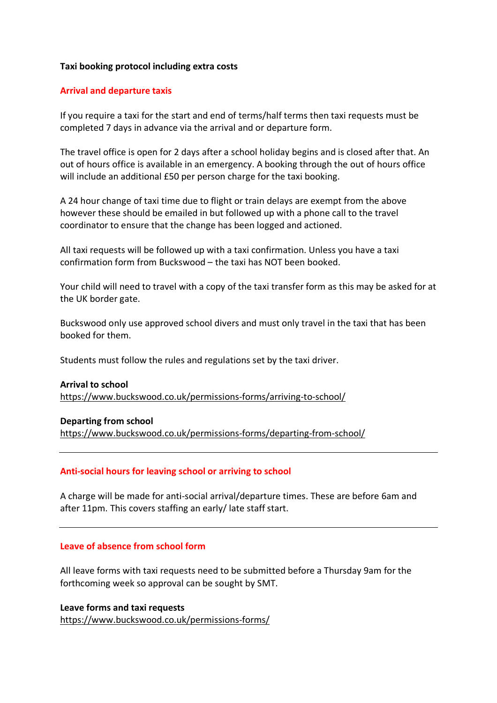## **Taxi booking protocol including extra costs**

## **Arrival and departure taxis**

If you require a taxi for the start and end of terms/half terms then taxi requests must be completed 7 days in advance via the arrival and or departure form.

The travel office is open for 2 days after a school holiday begins and is closed after that. An out of hours office is available in an emergency. A booking through the out of hours office will include an additional £50 per person charge for the taxi booking.

A 24 hour change of taxi time due to flight or train delays are exempt from the above however these should be emailed in but followed up with a phone call to the travel coordinator to ensure that the change has been logged and actioned.

All taxi requests will be followed up with a taxi confirmation. Unless you have a taxi confirmation form from Buckswood – the taxi has NOT been booked.

Your child will need to travel with a copy of the taxi transfer form as this may be asked for at the UK border gate.

Buckswood only use approved school divers and must only travel in the taxi that has been booked for them.

Students must follow the rules and regulations set by the taxi driver.

#### **Arrival to school**

https://www.buckswood.co.uk/permissions-forms/arriving-to-school/

#### **Departing from school**

https://www.buckswood.co.uk/permissions-forms/departing-from-school/

#### **Anti-social hours for leaving school or arriving to school**

A charge will be made for anti-social arrival/departure times. These are before 6am and after 11pm. This covers staffing an early/ late staff start.

### **Leave of absence from school form**

All leave forms with taxi requests need to be submitted before a Thursday 9am for the forthcoming week so approval can be sought by SMT.

**Leave forms and taxi requests** https://www.buckswood.co.uk/permissions-forms/